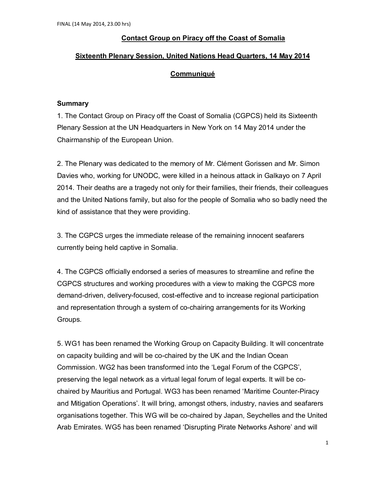## **Contact Group on Piracy off the Coast of Somalia**

### **Sixteenth Plenary Session, United Nations Head Quarters, 14 May 2014**

### **Communiqué**

#### **Summary**

1. The Contact Group on Piracy off the Coast of Somalia (CGPCS) held its Sixteenth Plenary Session at the UN Headquarters in New York on 14 May 2014 under the Chairmanship of the European Union.

2. The Plenary was dedicated to the memory of Mr. Clément Gorissen and Mr. Simon Davies who, working for UNODC, were killed in a heinous attack in Galkayo on 7 April 2014. Their deaths are a tragedy not only for their families, their friends, their colleagues and the United Nations family, but also for the people of Somalia who so badly need the kind of assistance that they were providing.

3. The CGPCS urges the immediate release of the remaining innocent seafarers currently being held captive in Somalia.

4. The CGPCS officially endorsed a series of measures to streamline and refine the CGPCS structures and working procedures with a view to making the CGPCS more demand-driven, delivery-focused, cost-effective and to increase regional participation and representation through a system of co-chairing arrangements for its Working Groups.

5. WG1 has been renamed the Working Group on Capacity Building. It will concentrate on capacity building and will be co-chaired by the UK and the Indian Ocean Commission. WG2 has been transformed into the 'Legal Forum of the CGPCS', preserving the legal network as a virtual legal forum of legal experts. It will be cochaired by Mauritius and Portugal. WG3 has been renamed 'Maritime Counter-Piracy and Mitigation Operations'. It will bring, amongst others, industry, navies and seafarers organisations together. This WG will be co-chaired by Japan, Seychelles and the United Arab Emirates. WG5 has been renamed 'Disrupting Pirate Networks Ashore' and will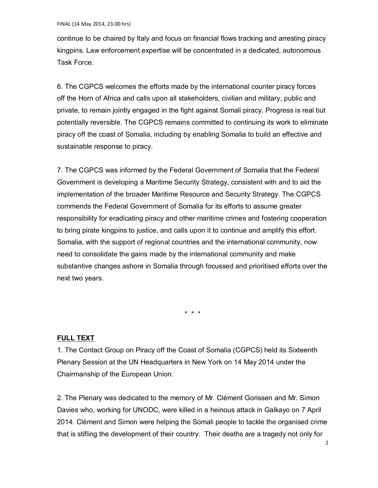continue to be chaired by Italy and focus on financial flows tracking and arresting piracy kingpins. Law enforcement expertise will be concentrated in a dedicated, autonomous Task Force.

6. The CGPCS welcomes the efforts made by the international counter piracy forces off the Horn of Africa and calls upon all stakeholders, civilian and military, public and private, to remain jointly engaged in the fight against Somali piracy. Progress is real but potentially reversible. The CGPCS remains committed to continuing its work to eliminate piracy off the coast of Somalia, including by enabling Somalia to build an effective and sustainable response to piracy.

7. The CGPCS was informed by the Federal Government of Somalia that the Federal Government is developing a Maritime Security Strategy, consistent with and to aid the implementation of the broader Maritime Resource and Security Strategy. The CGPCS commends the Federal Government of Somalia for its efforts to assume greater responsibility for eradicating piracy and other maritime crimes and fostering cooperation to bring pirate kingpins to justice, and calls upon it to continue and amplify this effort. Somalia, with the support of regional countries and the international community, now need to consolidate the gains made by the international community and make substantive changes ashore in Somalia through focussed and prioritised efforts over the next two years.

\* \* \*

# **FULL TEXT**

1. The Contact Group on Piracy off the Coast of Somalia (CGPCS) held its Sixteenth Plenary Session at the UN Headquarters in New York on 14 May 2014 under the Chairmanship of the European Union.

2. The Plenary was dedicated to the memory of Mr. Clément Gorissen and Mr. Simon Davies who, working for UNODC, were killed in a heinous attack in Galkayo on 7 April 2014. Clément and Simon were helping the Somali people to tackle the organised crime that is stifling the development of their country. Their deaths are a tragedy not only for

2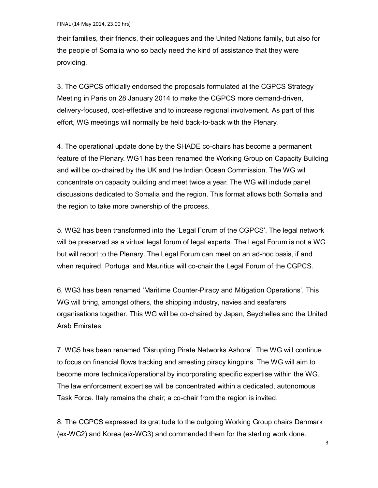their families, their friends, their colleagues and the United Nations family, but also for the people of Somalia who so badly need the kind of assistance that they were providing.

3. The CGPCS officially endorsed the proposals formulated at the CGPCS Strategy Meeting in Paris on 28 January 2014 to make the CGPCS more demand-driven, delivery-focused, cost-effective and to increase regional involvement. As part of this effort, WG meetings will normally be held back-to-back with the Plenary.

4. The operational update done by the SHADE co-chairs has become a permanent feature of the Plenary. WG1 has been renamed the Working Group on Capacity Building and will be co-chaired by the UK and the Indian Ocean Commission. The WG will concentrate on capacity building and meet twice a year. The WG will include panel discussions dedicated to Somalia and the region. This format allows both Somalia and the region to take more ownership of the process.

5. WG2 has been transformed into the 'Legal Forum of the CGPCS'. The legal network will be preserved as a virtual legal forum of legal experts. The Legal Forum is not a WG but will report to the Plenary. The Legal Forum can meet on an ad-hoc basis, if and when required. Portugal and Mauritius will co-chair the Legal Forum of the CGPCS.

6. WG3 has been renamed 'Maritime Counter-Piracy and Mitigation Operations'. This WG will bring, amongst others, the shipping industry, navies and seafarers organisations together. This WG will be co-chaired by Japan, Seychelles and the United Arab Emirates.

7. WG5 has been renamed 'Disrupting Pirate Networks Ashore'. The WG will continue to focus on financial flows tracking and arresting piracy kingpins. The WG will aim to become more technical/operational by incorporating specific expertise within the WG. The law enforcement expertise will be concentrated within a dedicated, autonomous Task Force. Italy remains the chair; a co-chair from the region is invited.

8. The CGPCS expressed its gratitude to the outgoing Working Group chairs Denmark (ex-WG2) and Korea (ex-WG3) and commended them for the sterling work done.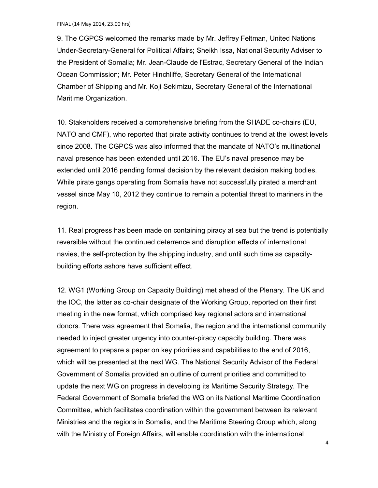9. The CGPCS welcomed the remarks made by Mr. Jeffrey Feltman, United Nations Under-Secretary-General for Political Affairs; Sheikh Issa, National Security Adviser to the President of Somalia; Mr. Jean-Claude de l'Estrac, Secretary General of the Indian Ocean Commission; Mr. Peter Hinchliffe, Secretary General of the International Chamber of Shipping and Mr. Koji Sekimizu, Secretary General of the International Maritime Organization.

10. Stakeholders received a comprehensive briefing from the SHADE co-chairs (EU, NATO and CMF), who reported that pirate activity continues to trend at the lowest levels since 2008. The CGPCS was also informed that the mandate of NATO's multinational naval presence has been extended until 2016. The EU's naval presence may be extended until 2016 pending formal decision by the relevant decision making bodies. While pirate gangs operating from Somalia have not successfully pirated a merchant vessel since May 10, 2012 they continue to remain a potential threat to mariners in the region.

11. Real progress has been made on containing piracy at sea but the trend is potentially reversible without the continued deterrence and disruption effects of international navies, the self-protection by the shipping industry, and until such time as capacitybuilding efforts ashore have sufficient effect.

12. WG1 (Working Group on Capacity Building) met ahead of the Plenary. The UK and the IOC, the latter as co-chair designate of the Working Group, reported on their first meeting in the new format, which comprised key regional actors and international donors. There was agreement that Somalia, the region and the international community needed to inject greater urgency into counter-piracy capacity building. There was agreement to prepare a paper on key priorities and capabilities to the end of 2016, which will be presented at the next WG. The National Security Advisor of the Federal Government of Somalia provided an outline of current priorities and committed to update the next WG on progress in developing its Maritime Security Strategy. The Federal Government of Somalia briefed the WG on its National Maritime Coordination Committee, which facilitates coordination within the government between its relevant Ministries and the regions in Somalia, and the Maritime Steering Group which, along with the Ministry of Foreign Affairs, will enable coordination with the international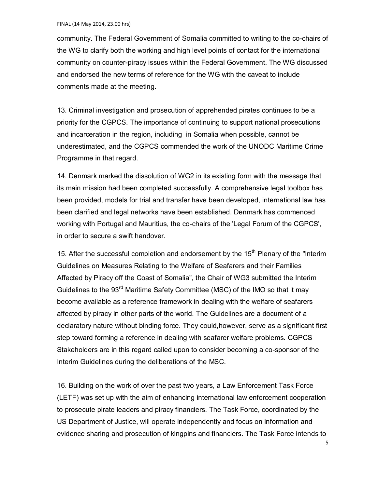community. The Federal Government of Somalia committed to writing to the co-chairs of the WG to clarify both the working and high level points of contact for the international community on counter-piracy issues within the Federal Government. The WG discussed and endorsed the new terms of reference for the WG with the caveat to include comments made at the meeting.

13. Criminal investigation and prosecution of apprehended pirates continues to be a priority for the CGPCS. The importance of continuing to support national prosecutions and incarceration in the region, including in Somalia when possible, cannot be underestimated, and the CGPCS commended the work of the UNODC Maritime Crime Programme in that regard.

14. Denmark marked the dissolution of WG2 in its existing form with the message that its main mission had been completed successfully. A comprehensive legal toolbox has been provided, models for trial and transfer have been developed, international law has been clarified and legal networks have been established. Denmark has commenced working with Portugal and Mauritius, the co-chairs of the 'Legal Forum of the CGPCS', in order to secure a swift handover.

15. After the successful completion and endorsement by the  $15<sup>th</sup>$  Plenary of the "Interim" Guidelines on Measures Relating to the Welfare of Seafarers and their Families Affected by Piracy off the Coast of Somalia", the Chair of WG3 submitted the Interim Guidelines to the 93<sup>rd</sup> Maritime Safety Committee (MSC) of the IMO so that it may become available as a reference framework in dealing with the welfare of seafarers affected by piracy in other parts of the world. The Guidelines are a document of a declaratory nature without binding force. They could,however, serve as a significant first step toward forming a reference in dealing with seafarer welfare problems. CGPCS Stakeholders are in this regard called upon to consider becoming a co-sponsor of the Interim Guidelines during the deliberations of the MSC.

16. Building on the work of over the past two years, a Law Enforcement Task Force (LETF) was set up with the aim of enhancing international law enforcement cooperation to prosecute pirate leaders and piracy financiers. The Task Force, coordinated by the US Department of Justice, will operate independently and focus on information and evidence sharing and prosecution of kingpins and financiers. The Task Force intends to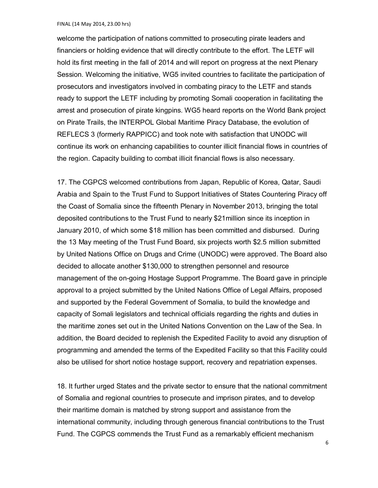FINAL (14 May 2014, 23.00 hrs)

welcome the participation of nations committed to prosecuting pirate leaders and financiers or holding evidence that will directly contribute to the effort. The LETF will hold its first meeting in the fall of 2014 and will report on progress at the next Plenary Session. Welcoming the initiative, WG5 invited countries to facilitate the participation of prosecutors and investigators involved in combating piracy to the LETF and stands ready to support the LETF including by promoting Somali cooperation in facilitating the arrest and prosecution of pirate kingpins. WG5 heard reports on the World Bank project on Pirate Trails, the INTERPOL Global Maritime Piracy Database, the evolution of REFLECS 3 (formerly RAPPICC) and took note with satisfaction that UNODC will continue its work on enhancing capabilities to counter illicit financial flows in countries of the region. Capacity building to combat illicit financial flows is also necessary.

17. The CGPCS welcomed contributions from Japan, Republic of Korea, Qatar, Saudi Arabia and Spain to the Trust Fund to Support Initiatives of States Countering Piracy off the Coast of Somalia since the fifteenth Plenary in November 2013, bringing the total deposited contributions to the Trust Fund to nearly \$21million since its inception in January 2010, of which some \$18 million has been committed and disbursed. During the 13 May meeting of the Trust Fund Board, six projects worth \$2.5 million submitted by United Nations Office on Drugs and Crime (UNODC) were approved. The Board also decided to allocate another \$130,000 to strengthen personnel and resource management of the on-going Hostage Support Programme. The Board gave in principle approval to a project submitted by the United Nations Office of Legal Affairs, proposed and supported by the Federal Government of Somalia, to build the knowledge and capacity of Somali legislators and technical officials regarding the rights and duties in the maritime zones set out in the United Nations Convention on the Law of the Sea. In addition, the Board decided to replenish the Expedited Facility to avoid any disruption of programming and amended the terms of the Expedited Facility so that this Facility could also be utilised for short notice hostage support, recovery and repatriation expenses.

18. It further urged States and the private sector to ensure that the national commitment of Somalia and regional countries to prosecute and imprison pirates, and to develop their maritime domain is matched by strong support and assistance from the international community, including through generous financial contributions to the Trust Fund. The CGPCS commends the Trust Fund as a remarkably efficient mechanism

6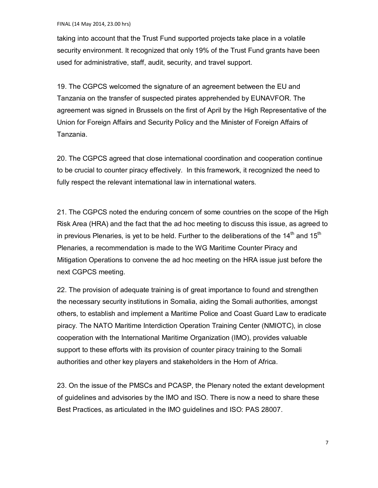taking into account that the Trust Fund supported projects take place in a volatile security environment. It recognized that only 19% of the Trust Fund grants have been used for administrative, staff, audit, security, and travel support.

19. The CGPCS welcomed the signature of an agreement between the EU and Tanzania on the transfer of suspected pirates apprehended by EUNAVFOR. The agreement was signed in Brussels on the first of April by the High Representative of the Union for Foreign Affairs and Security Policy and the Minister of Foreign Affairs of Tanzania.

20. The CGPCS agreed that close international coordination and cooperation continue to be crucial to counter piracy effectively. In this framework, it recognized the need to fully respect the relevant international law in international waters.

21. The CGPCS noted the enduring concern of some countries on the scope of the High Risk Area (HRA) and the fact that the ad hoc meeting to discuss this issue, as agreed to in previous Plenaries, is yet to be held. Further to the deliberations of the  $14<sup>th</sup>$  and  $15<sup>th</sup>$ Plenaries, a recommendation is made to the WG Maritime Counter Piracy and Mitigation Operations to convene the ad hoc meeting on the HRA issue just before the next CGPCS meeting.

22. The provision of adequate training is of great importance to found and strengthen the necessary security institutions in Somalia, aiding the Somali authorities, amongst others, to establish and implement a Maritime Police and Coast Guard Law to eradicate piracy. The NATO Maritime Interdiction Operation Training Center (NMIOTC), in close cooperation with the International Maritime Organization (IMO), provides valuable support to these efforts with its provision of counter piracy training to the Somali authorities and other key players and stakeholders in the Horn of Africa.

23. On the issue of the PMSCs and PCASP, the Plenary noted the extant development of guidelines and advisories by the IMO and ISO. There is now a need to share these Best Practices, as articulated in the IMO guidelines and ISO: PAS 28007.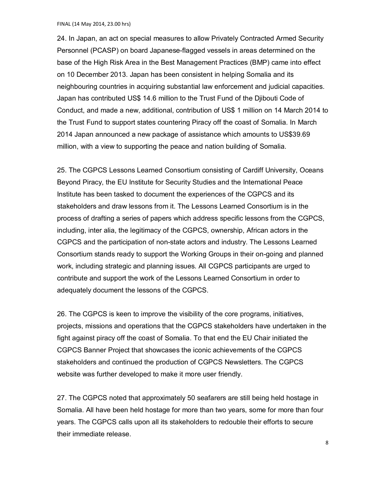24. In Japan, an act on special measures to allow Privately Contracted Armed Security Personnel (PCASP) on board Japanese-flagged vessels in areas determined on the base of the High Risk Area in the Best Management Practices (BMP) came into effect on 10 December 2013. Japan has been consistent in helping Somalia and its neighbouring countries in acquiring substantial law enforcement and judicial capacities. Japan has contributed US\$ 14.6 million to the Trust Fund of the Djibouti Code of Conduct, and made a new, additional, contribution of US\$ 1 million on 14 March 2014 to the Trust Fund to support states countering Piracy off the coast of Somalia. In March 2014 Japan announced a new package of assistance which amounts to US\$39.69 million, with a view to supporting the peace and nation building of Somalia.

25. The CGPCS Lessons Learned Consortium consisting of Cardiff University, Oceans Beyond Piracy, the EU Institute for Security Studies and the International Peace Institute has been tasked to document the experiences of the CGPCS and its stakeholders and draw lessons from it. The Lessons Learned Consortium is in the process of drafting a series of papers which address specific lessons from the CGPCS, including, inter alia, the legitimacy of the CGPCS, ownership, African actors in the CGPCS and the participation of non-state actors and industry. The Lessons Learned Consortium stands ready to support the Working Groups in their on-going and planned work, including strategic and planning issues. All CGPCS participants are urged to contribute and support the work of the Lessons Learned Consortium in order to adequately document the lessons of the CGPCS.

26. The CGPCS is keen to improve the visibility of the core programs, initiatives, projects, missions and operations that the CGPCS stakeholders have undertaken in the fight against piracy off the coast of Somalia. To that end the EU Chair initiated the CGPCS Banner Project that showcases the iconic achievements of the CGPCS stakeholders and continued the production of CGPCS Newsletters. The CGPCS website was further developed to make it more user friendly.

27. The CGPCS noted that approximately 50 seafarers are still being held hostage in Somalia. All have been held hostage for more than two years, some for more than four years. The CGPCS calls upon all its stakeholders to redouble their efforts to secure their immediate release.